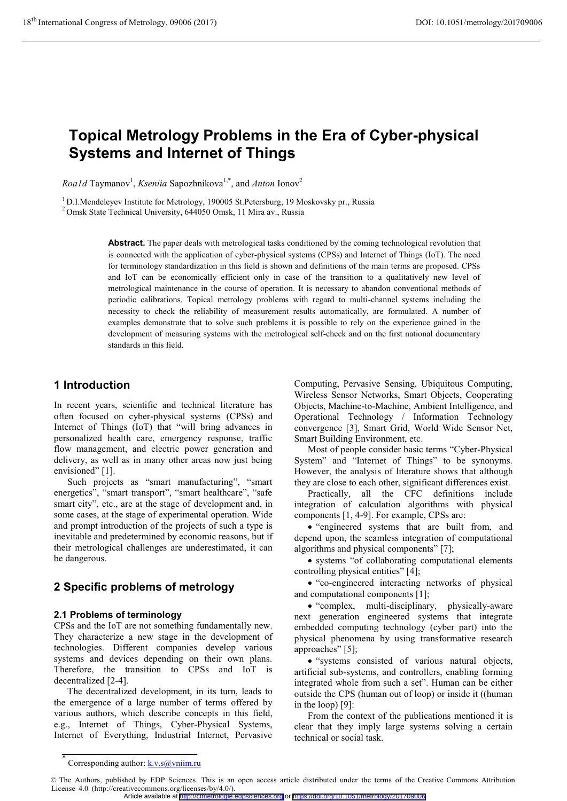# **Topical Metrology Problems in the Era of Cyber-physical Systems and Internet of Things**

*Roa1d* Taymanov<sup>1</sup>, *Kseniia* Sapozhnikova<sup>1,\*</sup>, and *Anton* Ionov<sup>2</sup>

<sup>1</sup> D.I.Mendeleyev Institute for Metrology, 190005 St.Petersburg, 19 Moskovsky pr., Russia <sup>2</sup> Omsk State Technical University, 644050 Omsk, 11 Mira av., Russia

**Abstract.** The paper deals with metrological tasks conditioned by the coming technological revolution that is connected with the application of cyber-physical systems (CPSs) and Internet of Things (IoT). The need for terminology standardization in this field is shown and definitions of the main terms are proposed. CPSs and IoT can be economically efficient only in case of the transition to a qualitatively new level of metrological maintenance in the course of operation. It is necessary to abandon conventional methods of periodic calibrations. Topical metrology problems with regard to multi-channel systems including the necessity to check the reliability of measurement results automatically, are formulated. A number of examples demonstrate that to solve such problems it is possible to rely on the experience gained in the development of measuring systems with the metrological self-check and on the first national documentary standards in this field.

# **1 Introduction**

In recent years, scientific and technical literature has often focused on cyber-physical systems (CPSs) and Internet of Things (IoT) that "will bring advances in personalized health care, emergency response, traffic flow management, and electric power generation and delivery, as well as in many other areas now just being envisioned" [1].

Such projects as "smart manufacturing", "smart energetics", "smart transport", "smart healthcare", "safe smart city", etc., are at the stage of development and, in some cases, at the stage of experimental operation. Wide and prompt introduction of the projects of such a type is inevitable and predetermined by economic reasons, but if their metrological challenges are underestimated, it can be dangerous.

# **2 Specific problems of metrology**

#### **2.1 Problems of terminology**

CPSs and the IoT are not something fundamentally new. They characterize a new stage in the development of technologies. Different companies develop various systems and devices depending on their own plans. Therefore, the transition to CPSs and IoT is decentralized [2-4].

The decentralized development, in its turn, leads to the emergence of a large number of terms offered by various authors, which describe concepts in this field, e.g., Internet of Things, Cyber-Physical Systems, Internet of Everything, Industrial Internet, Pervasive

Computing, Pervasive Sensing, Ubiquitous Computing, Wireless Sensor Networks, Smart Objects, Cooperating Objects, Machine-to-Machine, Ambient Intelligence, and Operational Technology / Information Technology convergence [3], Smart Grid, World Wide Sensor Net, Smart Building Environment, etc.

Most of people consider basic terms "Cyber-Physical System" and "Internet of Things" to be synonyms. However, the analysis of literature shows that although they are close to each other, significant differences exist.

Practically, all the CFC definitions include integration of calculation algorithms with physical components [1, 4-9]. For example, CPSs are:

- "engineered systems that are built from, and depend upon, the seamless integration of computational algorithms and physical components" [7];

- systems "of collaborating computational elements controlling physical entities" [4];

- "co-engineered interacting networks of physical and computational components [1];

- "complex, multi-disciplinary, physically-aware next generation engineered systems that integrate embedded computing technology (cyber part) into the physical phenomena by using transformative research approaches" [5];

- "systems consisted of various natural objects, artificial sub-systems, and controllers, enabling forming integrated whole from such a set". Human can be either outside the CPS (human out of loop) or inside it ((human in the loop) [9]:

From the context of the publications mentioned it is clear that they imply large systems solving a certain technical or social task.

<sup>\*</sup> Corresponding author:  $k.v.s@vniim.ru$ 

<sup>©</sup> The Authors, published by EDP Sciences. This is an open access article distributed under the terms of the Creative Commons Attribution License 4.0 (http://creativecommons.org/licenses/by/4.0/). Article available at <http://cfmetrologie.edpsciences.org> or <https://doi.org/10.1051/metrology/201709006>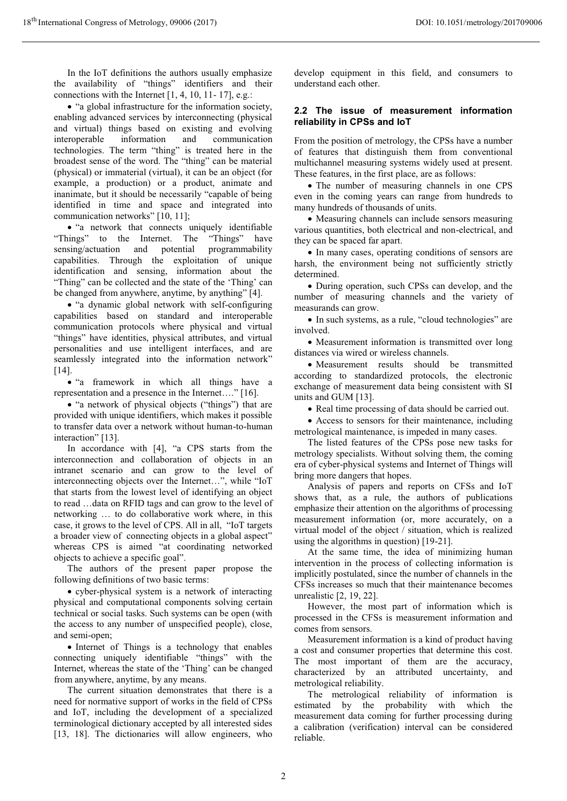In the IoT definitions the authors usually emphasize the availability of "things" identifiers and their connections with the Internet [1, 4, 10, 11- 17], e.g.:

- "a global infrastructure for the information society, enabling advanced services by interconnecting (physical and virtual) things based on existing and evolving interoperable information and communication technologies. The term "thing" is treated here in the broadest sense of the word. The "thing" can be material (physical) or immaterial (virtual), it can be an object (for example, a production) or a product, animate and inanimate, but it should be necessarily "capable of being identified in time and space and integrated into communication networks" [10, 11];

- "a network that connects uniquely identifiable "Things" to the Internet. The "Things" have sensing/actuation and potential programmability capabilities. Through the exploitation of unique identification and sensing, information about the "Thing" can be collected and the state of the 'Thing' can be changed from anywhere, anytime, by anything" [4].

- "a dynamic global network with self-configuring capabilities based on standard and interoperable communication protocols where physical and virtual "things" have identities, physical attributes, and virtual personalities and use intelligent interfaces, and are seamlessly integrated into the information network" [14].

- "a framework in which all things have a representation and a presence in the Internet…." [16].

- "a network of physical objects ("things") that are provided with unique identifiers, which makes it possible to transfer data over a network without human-to-human interaction" [13].

In accordance with [4], "a CPS starts from the interconnection and collaboration of objects in an intranet scenario and can grow to the level of interconnecting objects over the Internet…", while "IoT that starts from the lowest level of identifying an object to read …data on RFID tags and can grow to the level of networking … to do collaborative work where, in this case, it grows to the level of CPS. All in all, "IoT targets a broader view of connecting objects in a global aspect" whereas CPS is aimed "at coordinating networked objects to achieve a specific goal".

The authors of the present paper propose the following definitions of two basic terms:

- cyber-physical system is a network of interacting physical and computational components solving certain technical or social tasks. Such systems can be open (with the access to any number of unspecified people), close, and semi-open;

- Internet of Things is a technology that enables connecting uniquely identifiable "things" with the Internet, whereas the state of the 'Thing' can be changed from anywhere, anytime, by any means.

The current situation demonstrates that there is a need for normative support of works in the field of CPSs and IoT, including the development of a specialized terminological dictionary accepted by all interested sides [13, 18]. The dictionaries will allow engineers, who

develop equipment in this field, and consumers to understand each other.

#### **2.2 The issue of measurement information reliability in CPSs and IoT**

From the position of metrology, the CPSs have a number of features that distinguish them from conventional multichannel measuring systems widely used at present. These features, in the first place, are as follows:

- The number of measuring channels in one CPS even in the coming years can range from hundreds to many hundreds of thousands of units.

- Measuring channels can include sensors measuring various quantities, both electrical and non-electrical, and they can be spaced far apart.

- In many cases, operating conditions of sensors are harsh, the environment being not sufficiently strictly determined.

- During operation, such CPSs can develop, and the number of measuring channels and the variety of measurands can grow.

- In such systems, as a rule, "cloud technologies" are involved.

- Measurement information is transmitted over long distances via wired or wireless channels.

- Measurement results should be transmitted according to standardized protocols, the electronic exchange of measurement data being consistent with SI units and GUM [13].

- Real time processing of data should be carried out.

- Access to sensors for their maintenance, including metrological maintenance, is impeded in many cases.

The listed features of the CPSs pose new tasks for metrology specialists. Without solving them, the coming era of cyber-physical systems and Internet of Things will bring more dangers that hopes.

Analysis of papers and reports on CFSs and IoT shows that, as a rule, the authors of publications emphasize their attention on the algorithms of processing measurement information (or, more accurately, on a virtual model of the object / situation, which is realized using the algorithms in question) [19-21].

At the same time, the idea of minimizing human intervention in the process of collecting information is implicitly postulated, since the number of channels in the CFSs increases so much that their maintenance becomes unrealistic [2, 19, 22].

However, the most part of information which is processed in the CFSs is measurement information and comes from sensors.

Measurement information is a kind of product having a cost and consumer properties that determine this cost. The most important of them are the accuracy, characterized by an attributed uncertainty, and metrological reliability.

The metrological reliability of information is estimated by the probability with which the measurement data coming for further processing during a calibration (verification) interval can be considered reliable.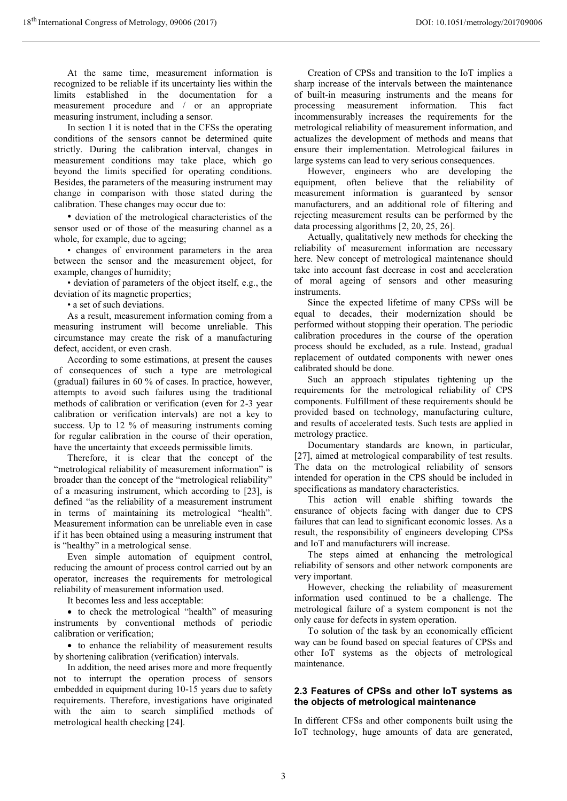At the same time, measurement information is recognized to be reliable if its uncertainty lies within the limits established in the documentation for a measurement procedure and / or an appropriate measuring instrument, including a sensor.

In section 1 it is noted that in the CFSs the operating conditions of the sensors cannot be determined quite strictly. During the calibration interval, changes in measurement conditions may take place, which go beyond the limits specified for operating conditions. Besides, the parameters of the measuring instrument may change in comparison with those stated during the calibration. These changes may occur due to:

• deviation of the metrological characteristics of the sensor used or of those of the measuring channel as a whole, for example, due to ageing;

• changes of environment parameters in the area between the sensor and the measurement object, for example, changes of humidity;

• deviation of parameters of the object itself, e.g., the deviation of its magnetic properties;

• a set of such deviations.

As a result, measurement information coming from a measuring instrument will become unreliable. This circumstance may create the risk of a manufacturing defect, accident, or even crash.

According to some estimations, at present the causes of consequences of such a type are metrological (gradual) failures in 60 % of cases. In practice, however, attempts to avoid such failures using the traditional methods of calibration or verification (even for 2-3 year calibration or verification intervals) are not a key to success. Up to 12 % of measuring instruments coming for regular calibration in the course of their operation, have the uncertainty that exceeds permissible limits.

Therefore, it is clear that the concept of the "metrological reliability of measurement information" is broader than the concept of the "metrological reliability" of a measuring instrument, which according to [23], is defined "as the reliability of a measurement instrument in terms of maintaining its metrological "health". Measurement information can be unreliable even in case if it has been obtained using a measuring instrument that is "healthy" in a metrological sense.

Even simple automation of equipment control, reducing the amount of process control carried out by an operator, increases the requirements for metrological reliability of measurement information used.

It becomes less and less acceptable:

- to check the metrological "health" of measuring instruments by conventional methods of periodic calibration or verification;

- to enhance the reliability of measurement results by shortening calibration (verification) intervals.

In addition, the need arises more and more frequently not to interrupt the operation process of sensors embedded in equipment during 10-15 years due to safety requirements. Therefore, investigations have originated with the aim to search simplified methods of metrological health checking [24].

Creation of CPSs and transition to the IoT implies a sharp increase of the intervals between the maintenance of built-in measuring instruments and the means for processing measurement information. This fact incommensurably increases the requirements for the metrological reliability of measurement information, and actualizes the development of methods and means that ensure their implementation. Metrological failures in large systems can lead to very serious consequences.

However, engineers who are developing the equipment, often believe that the reliability of measurement information is guaranteed by sensor manufacturers, and an additional role of filtering and rejecting measurement results can be performed by the data processing algorithms [2, 20, 25, 26].

Actually, qualitatively new methods for checking the reliability of measurement information are necessary here. New concept of metrological maintenance should take into account fast decrease in cost and acceleration of moral ageing of sensors and other measuring instruments.

Since the expected lifetime of many CPSs will be equal to decades, their modernization should be performed without stopping their operation. The periodic calibration procedures in the course of the operation process should be excluded, as a rule. Instead, gradual replacement of outdated components with newer ones calibrated should be done.

Such an approach stipulates tightening up the requirements for the metrological reliability of CPS components. Fulfillment of these requirements should be provided based on technology, manufacturing culture, and results of accelerated tests. Such tests are applied in metrology practice.

Documentary standards are known, in particular, [27], aimed at metrological comparability of test results. The data on the metrological reliability of sensors intended for operation in the CPS should be included in specifications as mandatory characteristics.

This action will enable shifting towards the ensurance of objects facing with danger due to CPS failures that can lead to significant economic losses. As a result, the responsibility of engineers developing CPSs and IoT and manufacturers will increase.

The steps aimed at enhancing the metrological reliability of sensors and other network components are very important.

However, checking the reliability of measurement information used continued to be a challenge. The metrological failure of a system component is not the only cause for defects in system operation.

To solution of the task by an economically efficient way can be found based on special features of CPSs and other IoT systems as the objects of metrological maintenance.

#### **2.3 Features of CPSs and other IoT systems as the objects of metrological maintenance**

In different CFSs and other components built using the IoT technology, huge amounts of data are generated,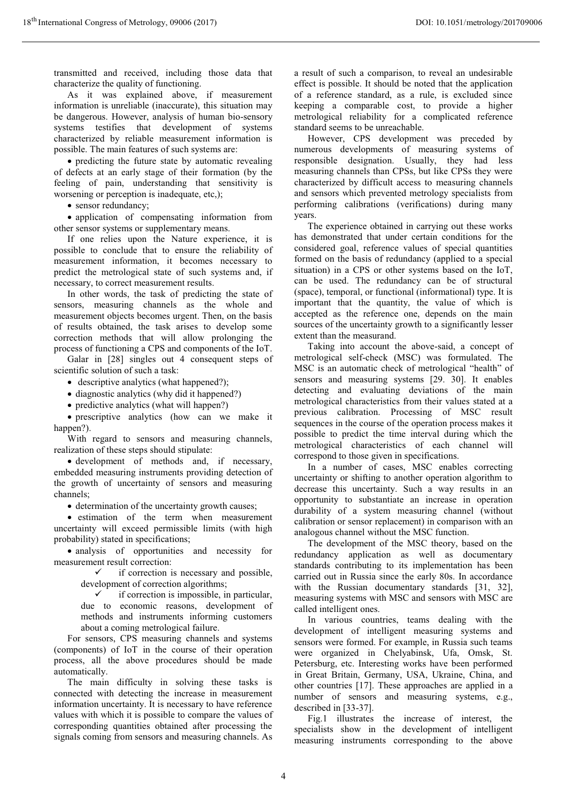transmitted and received, including those data that characterize the quality of functioning.

As it was explained above, if measurement information is unreliable (inaccurate), this situation may be dangerous. However, analysis of human bio-sensory systems testifies that development of systems characterized by reliable measurement information is possible. The main features of such systems are:

- predicting the future state by automatic revealing of defects at an early stage of their formation (by the feeling of pain, understanding that sensitivity is worsening or perception is inadequate, etc,);

• sensor redundancy;

- application of compensating information from other sensor systems or supplementary means.

If one relies upon the Nature experience, it is possible to conclude that to ensure the reliability of measurement information, it becomes necessary to predict the metrological state of such systems and, if necessary, to correct measurement results.

In other words, the task of predicting the state of sensors, measuring channels as the whole and measurement objects becomes urgent. Then, on the basis of results obtained, the task arises to develop some correction methods that will allow prolonging the process of functioning a CPS and components of the IoT.

Galar in [28] singles out 4 consequent steps of scientific solution of such a task:

- descriptive analytics (what happened?);

- diagnostic analytics (why did it happened?)

- predictive analytics (what will happen?)

- prescriptive analytics (how can we make it happen?).

With regard to sensors and measuring channels, realization of these steps should stipulate:

- development of methods and, if necessary, embedded measuring instruments providing detection of the growth of uncertainty of sensors and measuring channels;

 $\bullet$  determination of the uncertainty growth causes;

- estimation of the term when measurement uncertainty will exceed permissible limits (with high probability) stated in specifications;

- analysis of opportunities and necessity for measurement result correction:

> $\checkmark$  if correction is necessary and possible, development of correction algorithms;

 $\checkmark$  if correction is impossible, in particular, due to economic reasons, development of methods and instruments informing customers about a coming metrological failure.

For sensors, CPS measuring channels and systems (components) of IoT in the course of their operation process, all the above procedures should be made automatically.

The main difficulty in solving these tasks is connected with detecting the increase in measurement information uncertainty. It is necessary to have reference values with which it is possible to compare the values of corresponding quantities obtained after processing the signals coming from sensors and measuring channels. As

a result of such a comparison, to reveal an undesirable effect is possible. It should be noted that the application of a reference standard, as a rule, is excluded since keeping a comparable cost, to provide a higher metrological reliability for a complicated reference standard seems to be unreachable.

However, CPS development was preceded by numerous developments of measuring systems of responsible designation. Usually, they had less measuring channels than CPSs, but like CPSs they were characterized by difficult access to measuring channels and sensors which prevented metrology specialists from performing calibrations (verifications) during many years.

The experience obtained in carrying out these works has demonstrated that under certain conditions for the considered goal, reference values of special quantities formed on the basis of redundancy (applied to a special situation) in a CPS or other systems based on the IoT, can be used. The redundancy can be of structural (space), temporal, or functional (informational) type. It is important that the quantity, the value of which is accepted as the reference one, depends on the main sources of the uncertainty growth to a significantly lesser extent than the measurand.

Taking into account the above-said, a concept of metrological self-check (MSC) was formulated. The MSC is an automatic check of metrological "health" of sensors and measuring systems [29. 30]. It enables detecting and evaluating deviations of the main metrological characteristics from their values stated at a previous calibration. Processing of MSC result sequences in the course of the operation process makes it possible to predict the time interval during which the metrological characteristics of each channel will correspond to those given in specifications.

In a number of cases, MSC enables correcting uncertainty or shifting to another operation algorithm to decrease this uncertainty. Such a way results in an opportunity to substantiate an increase in operation durability of a system measuring channel (without calibration or sensor replacement) in comparison with an analogous channel without the MSC function.

The development of the MSC theory, based on the redundancy application as well as documentary standards contributing to its implementation has been carried out in Russia since the early 80s. In accordance with the Russian documentary standards [31, 32], measuring systems with MSC and sensors with MSC are called intelligent ones.

In various countries, teams dealing with the development of intelligent measuring systems and sensors were formed. For example, in Russia such teams were organized in Chelyabinsk, Ufa, Omsk, St. Petersburg, etc. Interesting works have been performed in Great Britain, Germany, USA, Ukraine, China, and other countries [17]. These approaches are applied in a number of sensors and measuring systems, e.g., described in [33-37].

Fig.1 illustrates the increase of interest, the specialists show in the development of intelligent measuring instruments corresponding to the above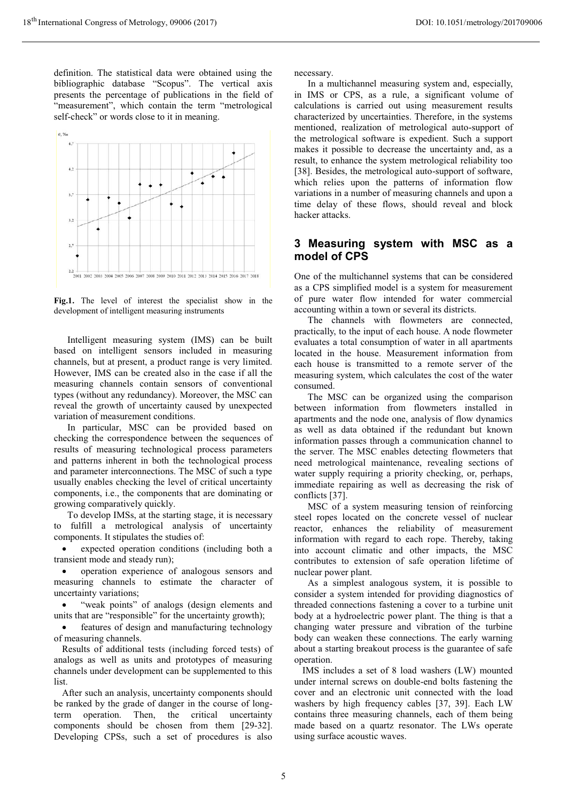definition. The statistical data were obtained using the bibliographic database "Scopus". The vertical axis presents the percentage of publications in the field of "measurement", which contain the term "metrological self-check" or words close to it in meaning.



**Fig.1.** The level of interest the specialist show in the development of intelligent measuring instruments

Intelligent measuring system (IMS) can be built based on intelligent sensors included in measuring channels, but at present, a product range is very limited. However, IMS can be created also in the case if all the measuring channels contain sensors of conventional types (without any redundancy). Moreover, the MSC can reveal the growth of uncertainty caused by unexpected variation of measurement conditions.

In particular, MSC can be provided based on checking the correspondence between the sequences of results of measuring technological process parameters and patterns inherent in both the technological process and parameter interconnections. The MSC of such a type usually enables checking the level of critical uncertainty components, i.e., the components that are dominating or growing comparatively quickly.

To develop IMSs, at the starting stage, it is necessary to fulfill a metrological analysis of uncertainty components. It stipulates the studies of:

 $\bullet$  expected operation conditions (including both a transient mode and steady run);

 $\bullet$  operation experience of analogous sensors and measuring channels to estimate the character of uncertainty variations;

 $\bullet$ "weak points" of analogs (design elements and units that are "responsible" for the uncertainty growth);

 features of design and manufacturing technology of measuring channels.

Results of additional tests (including forced tests) of analogs as well as units and prototypes of measuring channels under development can be supplemented to this list.

After such an analysis, uncertainty components should be ranked by the grade of danger in the course of longterm operation. Then, the critical uncertainty components should be chosen from them [29-32]. Developing CPSs, such a set of procedures is also

necessary.

In a multichannel measuring system and, especially, in IMS or CPS, as a rule, a significant volume of calculations is carried out using measurement results characterized by uncertainties. Therefore, in the systems mentioned, realization of metrological auto-support of the metrological software is expedient. Such a support makes it possible to decrease the uncertainty and, as a result, to enhance the system metrological reliability too [38]. Besides, the metrological auto-support of software, which relies upon the patterns of information flow variations in a number of measuring channels and upon a time delay of these flows, should reveal and block hacker attacks.

## **3 Measuring system with MSC as a model of CPS**

One of the multichannel systems that can be considered as a CPS simplified model is a system for measurement of pure water flow intended for water commercial accounting within a town or several its districts.

The channels with flowmeters are connected, practically, to the input of each house. A node flowmeter evaluates a total consumption of water in all apartments located in the house. Measurement information from each house is transmitted to a remote server of the measuring system, which calculates the cost of the water consumed.

The MSC can be organized using the comparison between information from flowmeters installed in apartments and the node one, analysis of flow dynamics as well as data obtained if the redundant but known information passes through a communication channel to the server. The MSC enables detecting flowmeters that need metrological maintenance, revealing sections of water supply requiring a priority checking, or, perhaps, immediate repairing as well as decreasing the risk of conflicts [37].

MSC of a system measuring tension of reinforcing steel ropes located on the concrete vessel of nuclear reactor, enhances the reliability of measurement information with regard to each rope. Thereby, taking into account climatic and other impacts, the MSC contributes to extension of safe operation lifetime of nuclear power plant.

As a simplest analogous system, it is possible to consider a system intended for providing diagnostics of threaded connections fastening a cover to a turbine unit body at a hydroelectric power plant. The thing is that a changing water pressure and vibration of the turbine body can weaken these connections. The early warning about a starting breakout process is the guarantee of safe operation.

IMS includes a set of 8 load washers (LW) mounted under internal screws on double-end bolts fastening the cover and an electronic unit connected with the load washers by high frequency cables [37, 39]. Each LW contains three measuring channels, each of them being made based on a quartz resonator. The LWs operate using surface acoustic waves.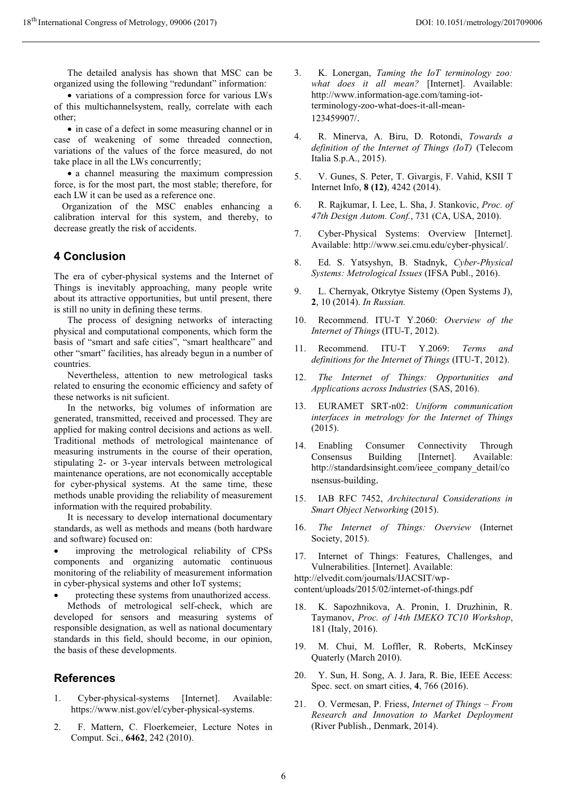The detailed analysis has shown that MSC can be organized using the following "redundant" information:

- variations of a compression force for various LWs of this multichannelsystem, really, correlate with each other;

- in case of a defect in some measuring channel or in case of weakening of some threaded connection, variations of the values of the force measured, do not take place in all the LWs concurrently;

- a channel measuring the maximum compression force, is for the most part, the most stable; therefore, for each LW it can be used as a reference one.

Organization of the MSC enables enhancing a calibration interval for this system, and thereby, to decrease greatly the risk of accidents.

# **4 Conclusion**

The era of cyber-physical systems and the Internet of Things is inevitably approaching, many people write about its attractive opportunities, but until present, there is still no unity in defining these terms.

The process of designing networks of interacting physical and computational components, which form the basis of "smart and safe cities", "smart healthcare" and other "smart" facilities, has already begun in a number of countries.

Nevertheless, attention to new metrological tasks related to ensuring the economic efficiency and safety of these networks is nit suficient.

In the networks, big volumes of information are generated, transmitted, received and processed. They are applied for making control decisions and actions as well. Traditional methods of metrological maintenance of measuring instruments in the course of their operation, stipulating 2- or 3-year intervals between metrological maintenance operations, are not economically acceptable for cyber-physical systems. At the same time, these methods unable providing the reliability of measurement information with the required probability.

It is necessary to develop international documentary standards, as well as methods and means (both hardware and software) focused on:

 improving the metrological reliability of CPSs components and organizing automatic continuous monitoring of the reliability of measurement information in cyber-physical systems and other IoT systems;

protecting these systems from unauthorized access.

Methods of metrological self-check, which are developed for sensors and measuring systems of responsible designation, as well as national documentary standards in this field, should become, in our opinion, the basis of these developments.

## **References**

- 1. Cyber-physical-systems [Internet]. Available: https://www.nist.gov/el/cyber-physical-systems.
- 2. F. Mattern, C. Floerkemeier, Lecture Notes in Comput. Sci., **6462**, 242 (2010).
- 3. K. Lonergan, *Taming the IoT terminology zoo: what does it all mean?* [Internet]. Available: http://www.information-age.com/taming-iotterminology-zoo-what-does-it-all-mean-123459907/.
- 4. R. Minerva, A. Biru, D. Rotondi, *Towards a definition of the Internet of Things (IoT)* (Telecom Italia S.p.A., 2015).
- 5. V. Gunes, S. Peter, T. Givargis, F. Vahid, KSII T Internet Info, **8 (12)**, 4242 (2014).
- 6. R. Rajkumar, I. Lee, L. Sha, J. Stankovic, *Proc. of 47th Design Autom. Conf.*, 731 (CA, USA, 2010).
- 7. Cyber-Physical Systems: Overview [Internet]. Available: http://www.sei.cmu.edu/cyber-physical/.
- 8. Ed. S. Yatsyshyn, B. Stadnyk, *Cyber-Physical Systems: Metrological Issues* (IFSA Publ., 2016).
- 9. L. Chernyak, Otkrytye Sistemy (Open Systems J), **2**, 10 (2014). *In Russian.*
- 10. Recommend. ITU-T Y.2060: *Overview of the Internet of Things* (ITU-T, 2012).
- 11. Recommend. ITU-T Y.2069: *Terms and definitions for the Internet of Things* (ITU-T, 2012).
- 12. *The Internet of Things: Opportunities and Applications across Industries* (SAS, 2016).
- 13. EURAMET SRT-n02: *Uniform communication interfaces in metrology for the Internet of Things* (2015).
- 14. Enabling Consumer Connectivity Through Consensus Building [Internet]. Available: http://standardsinsight.com/ieee\_company\_detail/co nsensus-building.
- 15. IAB RFC 7452, *Architectural Considerations in Smart Object Networking* (2015).
- 16. *The Internet of Things: Overview* (Internet Society, 2015).
- 17. Internet of Things: Features, Challenges, and Vulnerabilities. [Internet]. Available:

http://elvedit.com/journals/IJACSIT/wpcontent/uploads/2015/02/internet-of-things.pdf

- 18. K. Sapozhnikova, A. Pronin, I. Druzhinin, R. Taymanov, *Proc. of 14th IMEKO TC10 Workshop*, 181 (Italy, 2016).
- 19. M. Chui, M. Loffler, R. Roberts, McKinsey Quaterly (March 2010).
- 20. Y. Sun, H. Song, A. J. Jara, R. Bie, IEEE Access: Spec. sect. on smart cities, **4**, 766 (2016).
- 21. O. Vermesan, P. Friess, *Internet of Things – From Research and Innovation to Market Deployment* (River Publish., Denmark, 2014).